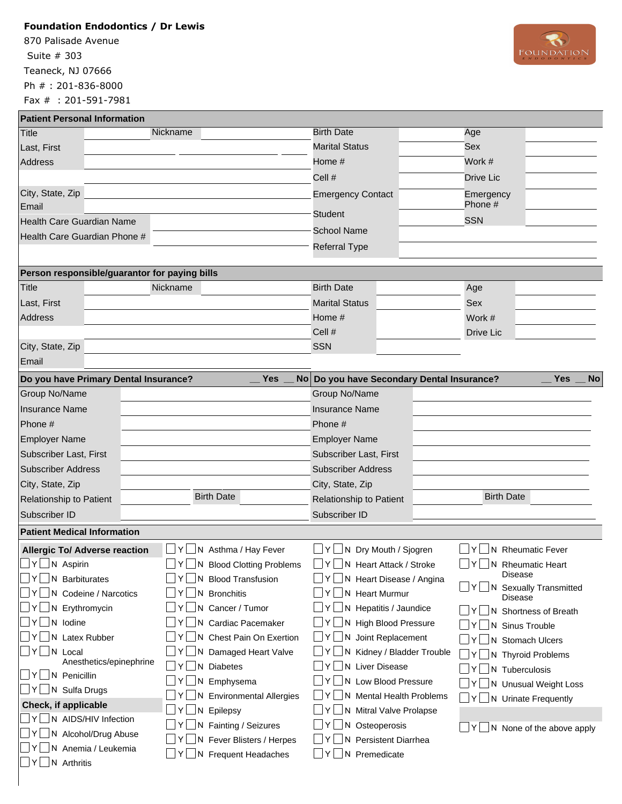## **Foundation Endodontics / Dr Lewis**

870 Palisade Avenue Teaneck, NJ 07666 Ph # : 201-836-8000 Fax # : 201-591-7981 Suite # 303



|  | <b>Patient Personal Information</b> |
|--|-------------------------------------|

| <b>Patient Personal Information</b>           |                                    |                                            |                                               |  |
|-----------------------------------------------|------------------------------------|--------------------------------------------|-----------------------------------------------|--|
| <b>Title</b>                                  | Nickname                           | <b>Birth Date</b>                          | Age                                           |  |
| Last, First                                   |                                    | <b>Marital Status</b>                      | Sex                                           |  |
| Address                                       |                                    | Home #                                     | Work #                                        |  |
|                                               |                                    | Cell #                                     | Drive Lic                                     |  |
| City, State, Zip<br>Email                     |                                    | <b>Emergency Contact</b>                   | Emergency<br>Phone #                          |  |
| Health Care Guardian Name                     |                                    | <b>Student</b>                             | <b>SSN</b>                                    |  |
| Health Care Guardian Phone #                  |                                    | <b>School Name</b>                         |                                               |  |
|                                               |                                    | <b>Referral Type</b>                       |                                               |  |
| Person responsible/guarantor for paying bills |                                    |                                            |                                               |  |
| Title                                         | Nickname                           | <b>Birth Date</b>                          | Age                                           |  |
| Last, First                                   |                                    | <b>Marital Status</b>                      | Sex                                           |  |
| Address                                       |                                    | Home #                                     | Work #                                        |  |
|                                               |                                    | Cell #                                     | Drive Lic                                     |  |
| City, State, Zip                              |                                    | <b>SSN</b>                                 |                                               |  |
| Email                                         |                                    |                                            |                                               |  |
| Do you have Primary Dental Insurance?         | <b>Yes</b>                         | No Do you have Secondary Dental Insurance? | <b>Yes</b><br><b>No</b>                       |  |
| <b>Group No/Name</b>                          |                                    | Group No/Name                              |                                               |  |
| <b>Insurance Name</b>                         |                                    | <b>Insurance Name</b>                      |                                               |  |
| Phone #                                       |                                    | Phone #                                    |                                               |  |
| <b>Employer Name</b>                          |                                    | <b>Employer Name</b>                       |                                               |  |
| Subscriber Last, First                        |                                    | Subscriber Last, First                     |                                               |  |
| <b>Subscriber Address</b>                     |                                    | <b>Subscriber Address</b>                  |                                               |  |
| City, State, Zip                              |                                    | City, State, Zip                           |                                               |  |
| Relationship to Patient                       | <b>Birth Date</b>                  | Relationship to Patient                    | <b>Birth Date</b>                             |  |
| Subscriber ID                                 |                                    | Subscriber ID                              |                                               |  |
| <b>Patient Medical Information</b>            |                                    |                                            |                                               |  |
| <b>Allergic To/ Adverse reaction</b>          | N Asthma / Hay Fever               | $\Box$ N Dry Mouth / Sjogren               | N Rheumatic Fever                             |  |
| $\exists Y \Box N$ Aspirin                    | $Y \cup N$ Blood Clotting Problems | N Heart Attack / Stroke<br>ΥI              | N Rheumatic Heart<br> Y                       |  |
| N Barbiturates<br>Y                           | N Blood Transfusion                | N Heart Disease / Angina                   | <b>Disease</b><br>N Sexually Transmitted<br>Y |  |
| N Codeine / Narcotics                         | <b>Bronchitis</b><br>N             | <b>Heart Murmur</b><br>N                   | <b>Disease</b>                                |  |
| $\Box$ N Erythromycin<br> Y                   | N Cancer / Tumor                   | Hepatitis / Jaundice<br>N<br>Y             | N Shortness of Breath                         |  |
| $\bigsqcup N$ lodine                          | <b>Cardiac Pacemaker</b><br>N.     | <b>High Blood Pressure</b><br>N            | N Sinus Trouble                               |  |
| N Latex Rubber<br>Y                           | Chest Pain On Exertion<br>N.       | Joint Replacement<br>N<br>Y                | N Stomach Ulcers                              |  |
| Y N Local<br>Anesthetics/epinephrine          | N Damaged Heart Valve              | Kidney / Bladder Trouble<br>N              | N Thyroid Problems                            |  |
| JY∐N Penicillin                               | <b>Diabetes</b><br>N               | <b>Liver Disease</b><br>N                  | N Tuberculosis                                |  |
| 」Y │ N Sulfa Drugs                            | N Emphysema                        | Low Blood Pressure<br>N                    | N Unusual Weight Loss                         |  |
| Check, if applicable                          | N Environmental Allergies          | <b>Mental Health Problems</b><br>N         | N Urinate Frequently                          |  |
| Y N AIDS/HIV Infection                        | Epilepsy<br>N<br>Y                 | Mitral Valve Prolapse<br>N                 |                                               |  |
| N Alcohol/Drug Abuse                          | N Fainting / Seizures              | N Osteoperosis                             | N None of the above apply<br> Y               |  |
| $\Box$ N Anemia / Leukemia                    | N Fever Blisters / Herpes          | Persistent Diarrhea<br>N                   |                                               |  |
| $Y \cup N$ Arthritis                          | N Frequent Headaches               | Premedicate<br>N                           |                                               |  |